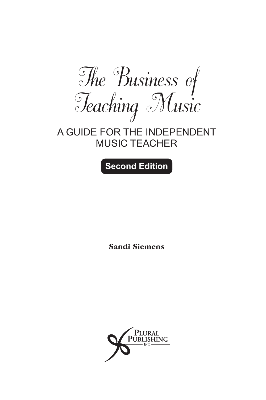*The Business of Teaching Music*

### A GUIDE FOR THE INDEPENDENT MUSIC TEACHER

**Second Edition**

Sandi Siemens

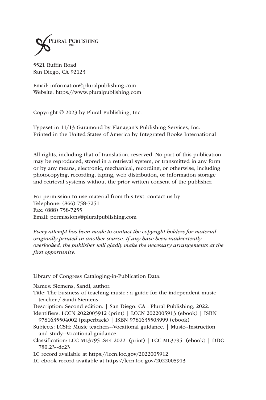

5521 Ruffin Road San Diego, CA 92123

Email: information@pluralpublishing.com Website: https://www.pluralpublishing.com

Copyright © 2023 by Plural Publishing, Inc.

Typeset in 11/13 Garamond by Flanagan's Publishing Services, Inc. Printed in the United States of America by Integrated Books International

All rights, including that of translation, reserved. No part of this publication may be reproduced, stored in a retrieval system, or transmitted in any form or by any means, electronic, mechanical, recording, or otherwise, including photocopying, recording, taping, web distribution, or information storage and retrieval systems without the prior written consent of the publisher.

For permission to use material from this text, contact us by Telephone: (866) 758-7251 Fax: (888) 758-7255 Email: permissions@pluralpublishing.com

*Every attempt has been made to contact the copyright holders for material originally printed in another source. If any have been inadvertently overlooked, the publisher will gladly make the necessary arrangements at the first opportunity.*

Library of Congress Cataloging-in-Publication Data:

Names: Siemens, Sandi, author.

- Title: The business of teaching music : a guide for the independent music teacher / Sandi Siemens.
- Description: Second edition. | San Diego, CA : Plural Publishing, 2022.

Identifiers: LCCN 2022005912 (print) | LCCN 2022005913 (ebook) | ISBN 9781635504002 (paperback) | ISBN 9781635503999 (ebook)

- Subjects: LCSH: Music teachers--Vocational guidance. | Music--Instruction and study--Vocational guidance.
- Classification: LCC ML3795 .S44 2022 (print) | LCC ML3795 (ebook) | DDC 780.23--dc23

LC record available at https://lccn.loc.gov/2022005912

LC ebook record available at https://lccn.loc.gov/2022005913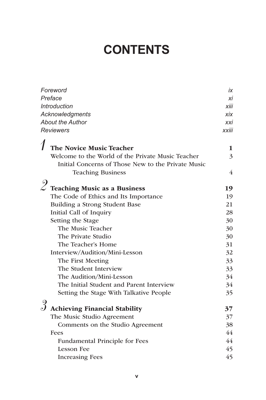## **CONTENTS**

| Foreword                                    |                                                    | iх             |  |
|---------------------------------------------|----------------------------------------------------|----------------|--|
| Preface                                     |                                                    | хi             |  |
|                                             | <b>Introduction</b>                                | xiii           |  |
|                                             | Acknowledgments                                    |                |  |
| <b>About the Author</b><br><b>Reviewers</b> |                                                    | xxi            |  |
|                                             |                                                    | xxiii          |  |
|                                             | The Novice Music Teacher                           | 1              |  |
|                                             | Welcome to the World of the Private Music Teacher  | 3              |  |
|                                             | Initial Concerns of Those New to the Private Music |                |  |
|                                             | <b>Teaching Business</b>                           | $\overline{4}$ |  |
|                                             |                                                    |                |  |
|                                             | $\mathscr Q$ Teaching Music as a Business          | 19             |  |
|                                             | The Code of Ethics and Its Importance              | 19             |  |
|                                             | Building a Strong Student Base                     | 21             |  |
|                                             | Initial Call of Inquiry                            | 28             |  |
|                                             | Setting the Stage                                  | 30             |  |
|                                             | The Music Teacher                                  | 30             |  |
|                                             | The Private Studio                                 | 30             |  |
|                                             | The Teacher's Home                                 | 31             |  |
|                                             | Interview/Audition/Mini-Lesson                     | 32             |  |
|                                             | The First Meeting                                  | 33             |  |
|                                             | The Student Interview                              | 33             |  |
|                                             | The Audition/Mini-Lesson                           | 34             |  |
|                                             | The Initial Student and Parent Interview           | 34             |  |
|                                             | Setting the Stage With Talkative People            | 35             |  |
|                                             |                                                    |                |  |
|                                             | <b>Achieving Financial Stability</b>               | 37             |  |
|                                             | The Music Studio Agreement                         | 37             |  |
|                                             | Comments on the Studio Agreement                   | 38             |  |
|                                             | Fees                                               | 44             |  |
|                                             | Fundamental Principle for Fees                     | 44             |  |
|                                             | <b>Lesson Fee</b>                                  | 45             |  |
|                                             | <b>Increasing Fees</b>                             | 45             |  |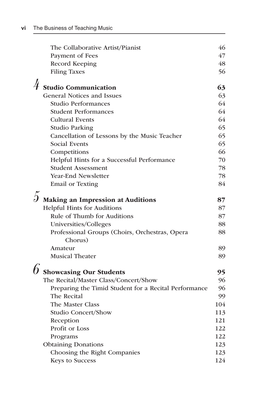|   | The Collaborative Artist/Pianist                          | 46  |
|---|-----------------------------------------------------------|-----|
|   | Payment of Fees                                           | 47  |
|   | Record Keeping                                            | 48  |
|   | <b>Filing Taxes</b>                                       | 56  |
| 4 | <b>Studio Communication</b>                               | 63  |
|   | <b>General Notices and Issues</b>                         | 63  |
|   | <b>Studio Performances</b>                                | 64  |
|   | <b>Student Performances</b>                               | 64  |
|   | <b>Cultural Events</b>                                    | 64  |
|   | <b>Studio Parking</b>                                     | 65  |
|   | Cancellation of Lessons by the Music Teacher              | 65  |
|   | Social Events                                             | 65  |
|   | Competitions                                              | 66  |
|   | Helpful Hints for a Successful Performance                | 70  |
|   | <b>Student Assessment</b>                                 | 78  |
|   | <b>Year-End Newsletter</b>                                | 78  |
|   | <b>Email or Texting</b>                                   | 84  |
|   | Making an Impression at Auditions                         | 87  |
|   | <b>Helpful Hints for Auditions</b>                        | 87  |
|   | Rule of Thumb for Auditions                               | 87  |
|   | Universities/Colleges                                     | 88  |
|   | Professional Groups (Choirs, Orchestras, Opera<br>Chorus) | 88  |
|   | Amateur                                                   | 89  |
|   | <b>Musical Theater</b>                                    | 89  |
|   | <b>Showcasing Our Students</b>                            | 95  |
|   | The Recital/Master Class/Concert/Show                     | 96  |
|   | Preparing the Timid Student for a Recital Performance     | 96  |
|   | The Recital                                               | 99  |
|   | The Master Class                                          | 104 |
|   | <b>Studio Concert/Show</b>                                | 113 |
|   | Reception                                                 | 121 |
|   | Profit or Loss                                            | 122 |
|   | Programs                                                  | 122 |
|   | <b>Obtaining Donations</b>                                | 123 |
|   | Choosing the Right Companies                              | 123 |
|   | <b>Keys to Success</b>                                    | 124 |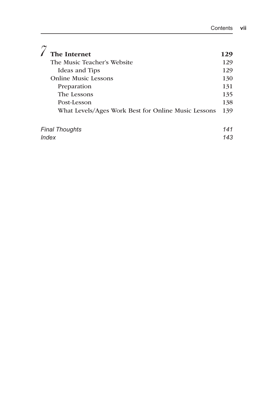| <b>The Internet</b>                                 | 129 |
|-----------------------------------------------------|-----|
| The Music Teacher's Website                         | 129 |
| Ideas and Tips                                      | 129 |
| <b>Online Music Lessons</b>                         | 130 |
| Preparation                                         | 131 |
| The Lessons                                         | 135 |
| Post-Lesson                                         | 138 |
| What Levels/Ages Work Best for Online Music Lessons | 139 |
| <b>Final Thoughts</b>                               | 141 |
| Index                                               |     |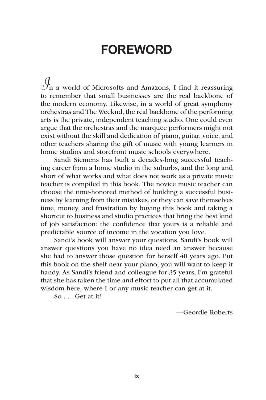## **FOREWORD**

*I*n a world of Microsofts and Amazons, I find it reassuring to remember that small businesses are the real backbone of the modern economy. Likewise, in a world of great symphony orchestras and The Weeknd, the real backbone of the performing arts is the private, independent teaching studio. One could even argue that the orchestras and the marquee performers might not exist without the skill and dedication of piano, guitar, voice, and other teachers sharing the gift of music with young learners in home studios and storefront music schools everywhere.

Sandi Siemens has built a decades-long successful teaching career from a home studio in the suburbs, and the long and short of what works and what does not work as a private music teacher is compiled in this book. The novice music teacher can choose the time-honored method of building a successful business by learning from their mistakes, or they can save themselves time, money, and frustration by buying this book and taking a shortcut to business and studio practices that bring the best kind of job satisfaction: the confidence that yours is a reliable and predictable source of income in the vocation you love.

Sandi's book will answer your questions. Sandi's book will answer questions you have no idea need an answer because she had to answer those question for herself 40 years ago. Put this book on the shelf near your piano; you will want to keep it handy. As Sandi's friend and colleague for 35 years, I'm grateful that she has taken the time and effort to put all that accumulated wisdom here, where I or any music teacher can get at it.

So . . . Get at it!

—Geordie Roberts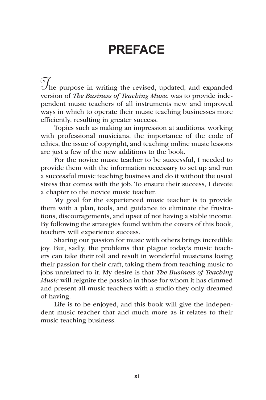## **PREFACE**

The purpose in writing the revised, updated, and expanded version of *The Business of Teaching Music* was to provide independent music teachers of all instruments new and improved ways in which to operate their music teaching businesses more efficiently, resulting in greater success.

Topics such as making an impression at auditions, working with professional musicians, the importance of the code of ethics, the issue of copyright, and teaching online music lessons are just a few of the new additions to the book.

For the novice music teacher to be successful, I needed to provide them with the information necessary to set up and run a successful music teaching business and do it without the usual stress that comes with the job. To ensure their success, I devote a chapter to the novice music teacher.

My goal for the experienced music teacher is to provide them with a plan, tools, and guidance to eliminate the frustrations, discouragements, and upset of not having a stable income. By following the strategies found within the covers of this book, teachers will experience success.

Sharing our passion for music with others brings incredible joy. But, sadly, the problems that plague today's music teachers can take their toll and result in wonderful musicians losing their passion for their craft, taking them from teaching music to jobs unrelated to it. My desire is that *The Business of Teaching Music* will reignite the passion in those for whom it has dimmed and present all music teachers with a studio they only dreamed of having.

Life is to be enjoyed, and this book will give the independent music teacher that and much more as it relates to their music teaching business.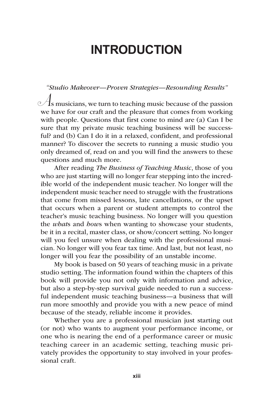## **INTRODUCTION**

*"Studio Makeover—Proven Strategies—Resounding Results"*  $\mathcal{A}_s$  musicians, we turn to teaching music because of the passion we have for our craft and the pleasure that comes from working with people. Questions that first come to mind are (a) Can I be sure that my private music teaching business will be successful? and (b) Can I do it in a relaxed, confident, and professional manner? To discover the secrets to running a music studio you only dreamed of, read on and you will find the answers to these questions and much more.

After reading *The Business of Teaching Music*, those of you who are just starting will no longer fear stepping into the incredible world of the independent music teacher. No longer will the independent music teacher need to struggle with the frustrations that come from missed lessons, late cancellations, or the upset that occurs when a parent or student attempts to control the teacher's music teaching business. No longer will you question the *what*s and *how*s when wanting to showcase your students, be it in a recital, master class, or show/concert setting. No longer will you feel unsure when dealing with the professional musician. No longer will you fear tax time. And last, but not least, no longer will you fear the possibility of an unstable income.

My book is based on 50 years of teaching music in a private studio setting. The information found within the chapters of this book will provide you not only with information and advice, but also a step-by-step survival guide needed to run a successful independent music teaching business—a business that will run more smoothly and provide you with a new peace of mind because of the steady, reliable income it provides.

Whether you are a professional musician just starting out (or not) who wants to augment your performance income, or one who is nearing the end of a performance career or music teaching career in an academic setting, teaching music privately provides the opportunity to stay involved in your professional craft.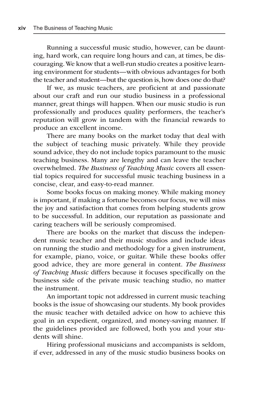Running a successful music studio, however, can be daunting, hard work, can require long hours and can, at times, be discouraging. We know that a well-run studio creates a positive learning environment for students—with obvious advantages for both the teacher and student—but the question is, how does one do that?

If we, as music teachers, are proficient at and passionate about our craft and run our studio business in a professional manner, great things will happen. When our music studio is run professionally and produces quality performers, the teacher's reputation will grow in tandem with the financial rewards to produce an excellent income.

There are many books on the market today that deal with the subject of teaching music privately. While they provide sound advice, they do not include topics paramount to the music teaching business. Many are lengthy and can leave the teacher overwhelmed. *The Business of Teaching Music* covers all essential topics required for successful music teaching business in a concise, clear, and easy-to-read manner.

Some books focus on making money. While making money is important, if making a fortune becomes our focus, we will miss the joy and satisfaction that comes from helping students grow to be successful. In addition, our reputation as passionate and caring teachers will be seriously compromised.

There are books on the market that discuss the independent music teacher and their music studios and include ideas on running the studio and methodology for a given instrument, for example, piano, voice, or guitar. While these books offer good advice, they are more general in content. *The Business of Teaching Music* differs because it focuses specifically on the business side of the private music teaching studio, no matter the instrument.

An important topic not addressed in current music teaching books is the issue of showcasing our students. My book provides the music teacher with detailed advice on how to achieve this goal in an expedient, organized, and money-saving manner. If the guidelines provided are followed, both you and your students will shine.

Hiring professional musicians and accompanists is seldom, if ever, addressed in any of the music studio business books on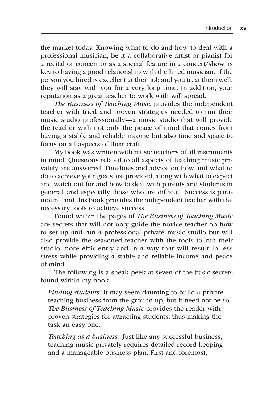the market today. Knowing what to do and how to deal with a professional musician, be it a collaborative artist or pianist for a recital or concert or as a special feature in a concert/show, is key to having a good relationship with the hired musician. If the person you hired is excellent at their job and you treat them well, they will stay with you for a very long time. In addition, your reputation as a great teacher to work with will spread.

*The Business of Teaching Music* provides the independent teacher with tried and proven strategies needed to run their music studio professionally—a music studio that will provide the teacher with not only the peace of mind that comes from having a stable and reliable income but also time and space to focus on all aspects of their craft.

My book was written with music teachers of all instruments in mind. Questions related to all aspects of teaching music privately are answered. Timelines and advice on how and what to do to achieve your goals are provided, along with what to expect and watch out for and how to deal with parents and students in general, and especially those who are difficult. Success is paramount, and this book provides the independent teacher with the necessary tools to achieve success.

Found within the pages of *The Business of Teaching Music*  are secrets that will not only guide the novice teacher on how to set up and run a professional private music studio but will also provide the seasoned teacher with the tools to run their studio more efficiently and in a way that will result in less stress while providing a stable and reliable income and peace of mind.

The following is a sneak peek at seven of the basic secrets found within my book.

*Finding students.* It may seem daunting to build a private teaching business from the ground up, but it need not be so. *The Business of Teaching Music* provides the reader with proven strategies for attracting students, thus making the task an easy one.

*Teaching as a business.* Just like any successful business, teaching music privately requires detailed record keeping and a manageable business plan. First and foremost,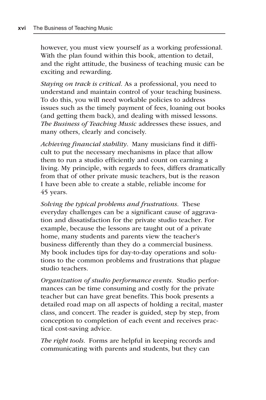however, you must view yourself as a working professional. With the plan found within this book, attention to detail, and the right attitude, the business of teaching music can be exciting and rewarding.

*Staying on track is critical.* As a professional, you need to understand and maintain control of your teaching business. To do this, you will need workable policies to address issues such as the timely payment of fees, loaning out books (and getting them back), and dealing with missed lessons. *The Business of Teaching Music* addresses these issues, and many others, clearly and concisely.

*Achieving financial stability*. Many musicians find it difficult to put the necessary mechanisms in place that allow them to run a studio efficiently and count on earning a living. My principle, with regards to fees, differs dramatically from that of other private music teachers, but is the reason I have been able to create a stable, reliable income for 45 years.

*Solving the typical problems and frustrations.* These everyday challenges can be a significant cause of aggravation and dissatisfaction for the private studio teacher. For example, because the lessons are taught out of a private home, many students and parents view the teacher's business differently than they do a commercial business. My book includes tips for day-to-day operations and solutions to the common problems and frustrations that plague studio teachers.

*Organization of studio performance events.* Studio performances can be time consuming and costly for the private teacher but can have great benefits. This book presents a detailed road map on all aspects of holding a recital, master class, and concert. The reader is guided, step by step, from conception to completion of each event and receives practical cost-saving advice.

*The right tools.* Forms are helpful in keeping records and communicating with parents and students, but they can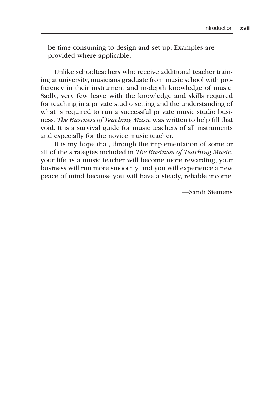be time consuming to design and set up. Examples are provided where applicable.

Unlike schoolteachers who receive additional teacher training at university, musicians graduate from music school with proficiency in their instrument and in-depth knowledge of music. Sadly, very few leave with the knowledge and skills required for teaching in a private studio setting and the understanding of what is required to run a successful private music studio business. *The Business of Teaching Music* was written to help fill that void. It is a survival guide for music teachers of all instruments and especially for the novice music teacher.

It is my hope that, through the implementation of some or all of the strategies included in *The Business of Teaching Music*, your life as a music teacher will become more rewarding, your business will run more smoothly, and you will experience a new peace of mind because you will have a steady, reliable income.

—Sandi Siemens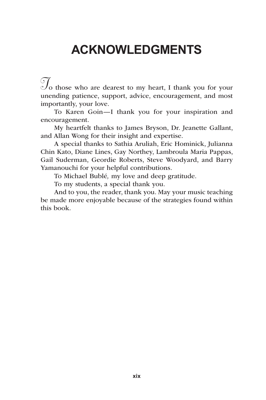## **ACKNOWLEDGMENTS**

 $\mathcal{T}_0$  those who are dearest to my heart, I thank you for your unending patience, support, advice, encouragement, and most importantly, your love.

To Karen Goin—I thank you for your inspiration and encouragement.

My heartfelt thanks to James Bryson, Dr. Jeanette Gallant, and Allan Wong for their insight and expertise.

A special thanks to Sathia Aruliah, Eric Hominick, Julianna Chin Kato, Diane Lines, Gay Northey, Lambroula Maria Pappas, Gail Suderman, Geordie Roberts, Steve Woodyard, and Barry Yamanouchi for your helpful contributions.

To Michael Bublé*,* my love and deep gratitude.

To my students, a special thank you.

And to you, the reader, thank you. May your music teaching be made more enjoyable because of the strategies found within this book.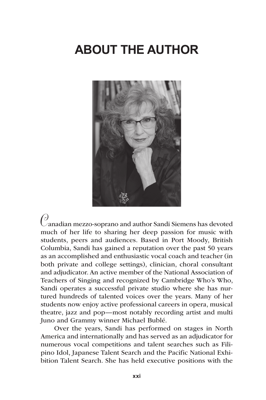## **ABOUT THE AUTHOR**



 *C*anadian mezzo-soprano and author Sandi Siemens has devoted much of her life to sharing her deep passion for music with students, peers and audiences. Based in Port Moody, British Columbia, Sandi has gained a reputation over the past 50 years as an accomplished and enthusiastic vocal coach and teacher (in both private and college settings), clinician, choral consultant and adjudicator. An active member of the National Association of Teachers of Singing and recognized by Cambridge Who's Who, Sandi operates a successful private studio where she has nurtured hundreds of talented voices over the years. Many of her students now enjoy active professional careers in opera, musical theatre, jazz and pop—most notably recording artist and multi Juno and Grammy winner Michael Bublé.

Over the years, Sandi has performed on stages in North America and internationally and has served as an adjudicator for numerous vocal competitions and talent searches such as Filipino Idol, Japanese Talent Search and the Pacific National Exhibition Talent Search. She has held executive positions with the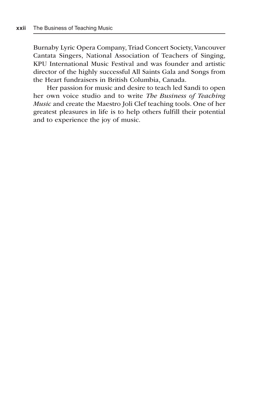Burnaby Lyric Opera Company, Triad Concert Society, Vancouver Cantata Singers, National Association of Teachers of Singing, KPU International Music Festival and was founder and artistic director of the highly successful All Saints Gala and Songs from the Heart fundraisers in British Columbia, Canada.

Her passion for music and desire to teach led Sandi to open her own voice studio and to write *The Business of Teaching Music* and create the Maestro Joli Clef teaching tools. One of her greatest pleasures in life is to help others fulfill their potential and to experience the joy of music.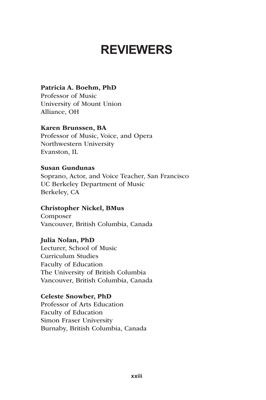## **REVIEWERS**

#### Patricia A. Boehm, PhD

Professor of Music University of Mount Union Alliance, OH

#### Karen Brunssen, BA

Professor of Music, Voice, and Opera Northwestern University Evanston, IL

#### Susan Gundunas

Soprano, Actor, and Voice Teacher, San Francisco UC Berkeley Department of Music Berkeley, CA

#### Christopher Nickel, BMus

Composer Vancouver, British Columbia, Canada

#### Julia Nolan, PhD

Lecturer, School of Music Curriculum Studies Faculty of Education The University of British Columbia Vancouver, British Columbia, Canada

#### Celeste Snowber, PhD

Professor of Arts Education Faculty of Education Simon Fraser University Burnaby, British Columbia, Canada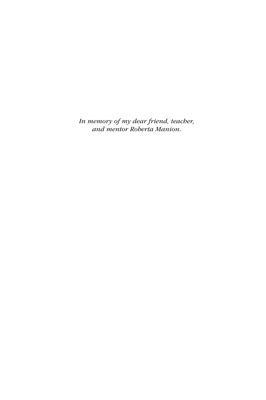*In memory of my dear friend, teacher, and mentor Roberta Manion.*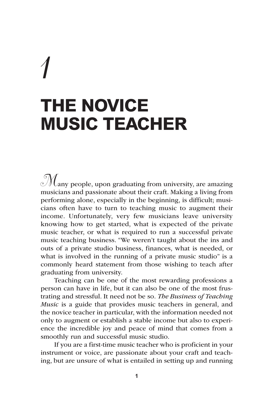# *1* **THE NOVICE MUSIC TEACHER**

 $\mathcal{M}_{\text{any people, upon graduating from university, are amazing}}$ musicians and passionate about their craft. Making a living from performing alone, especially in the beginning, is difficult; musicians often have to turn to teaching music to augment their income. Unfortunately, very few musicians leave university knowing how to get started, what is expected of the private music teacher, or what is required to run a successful private music teaching business. "We weren't taught about the ins and outs of a private studio business, finances, what is needed, or what is involved in the running of a private music studio" is a commonly heard statement from those wishing to teach after graduating from university.

Teaching can be one of the most rewarding professions a person can have in life, but it can also be one of the most frustrating and stressful. It need not be so*. The Business of Teaching Music* is a guide that provides music teachers in general, and the novice teacher in particular, with the information needed not only to augment or establish a stable income but also to experience the incredible joy and peace of mind that comes from a smoothly run and successful music studio.

If you are a first-time music teacher who is proficient in your instrument or voice, are passionate about your craft and teaching, but are unsure of what is entailed in setting up and running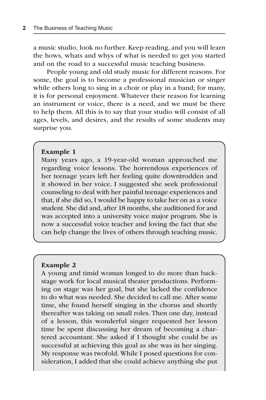a music studio, look no further. Keep reading, and you will learn the hows, whats and whys of what is needed to get you started and on the road to a successful music teaching business.

People young and old study music for different reasons. For some, the goal is to become a professional musician or singer while others long to sing in a choir or play in a band; for many, it is for personal enjoyment. Whatever their reason for learning an instrument or voice, there is a need, and we must be there to help them. All this is to say that your studio will consist of all ages, levels, and desires, and the results of some students may surprise you.

#### Example 1

Many years ago, a 19-year-old woman approached me regarding voice lessons. The horrendous experiences of her teenage years left her feeling quite downtrodden and it showed in her voice. I suggested she seek professional counseling to deal with her painful teenage experiences and that, if she did so, I would be happy to take her on as a voice student. She did and, after 18 months, she auditioned for and was accepted into a university voice major program. She is now a successful voice teacher and loving the fact that she can help change the lives of others through teaching music.

#### Example 2

A young and timid woman longed to do more than backstage work for local musical theater productions. Performing on stage was her goal, but she lacked the confidence to do what was needed. She decided to call me. After some time, she found herself singing in the chorus and shortly thereafter was taking on small roles. Then one day, instead of a lesson, this wonderful singer requested her lesson time be spent discussing her dream of becoming a chartered accountant. She asked if I thought she could be as successful at achieving this goal as she was in her singing. My response was twofold. While I posed questions for consideration, I added that she could achieve anything she put